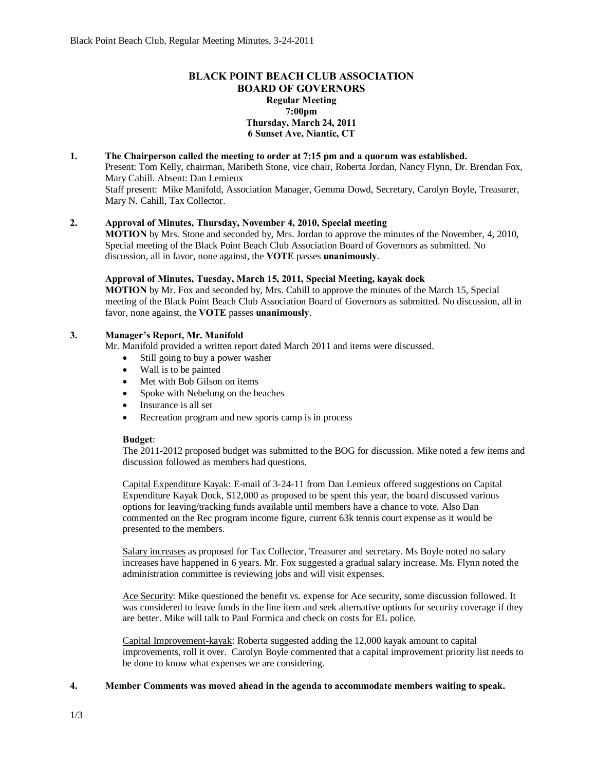# **BLACK POINT BEACH CLUB ASSOCIATION BOARD OF GOVERNORS Regular Meeting 7:00pm Thursday, March 24, 2011 6 Sunset Ave, Niantic, CT**

# **1. The Chairperson called the meeting to order at 7:15 pm and a quorum was established.**

Present: Tom Kelly, chairman, Maribeth Stone, vice chair, Roberta Jordan, Nancy Flynn, Dr. Brendan Fox, Mary Cahill. Absent: Dan Lemieux

Staff present: Mike Manifold, Association Manager, Gemma Dowd, Secretary, Carolyn Boyle, Treasurer, Mary N. Cahill, Tax Collector.

# **2. Approval of Minutes, Thursday, November 4, 2010, Special meeting**

**MOTION** by Mrs. Stone and seconded by, Mrs. Jordan to approve the minutes of the November, 4, 2010, Special meeting of the Black Point Beach Club Association Board of Governors as submitted. No discussion, all in favor, none against, the **VOTE** passes **unanimously**.

#### **Approval of Minutes, Tuesday, March 15, 2011, Special Meeting, kayak dock**

**MOTION** by Mr. Fox and seconded by, Mrs. Cahill to approve the minutes of the March 15, Special meeting of the Black Point Beach Club Association Board of Governors as submitted. No discussion, all in favor, none against, the **VOTE** passes **unanimously**.

#### **3. Manager's Report, Mr. Manifold**

Mr. Manifold provided a written report dated March 2011 and items were discussed.

- Still going to buy a power washer
- · Wall is to be painted
- · Met with Bob Gilson on items
- Spoke with Nebelung on the beaches
- Insurance is all set
- · Recreation program and new sports camp is in process

#### **Budget**:

The 2011-2012 proposed budget was submitted to the BOG for discussion. Mike noted a few items and discussion followed as members had questions.

Capital Expenditure Kayak: E-mail of 3-24-11 from Dan Lemieux offered suggestions on Capital Expenditure Kayak Dock, \$12,000 as proposed to be spent this year, the board discussed various options for leaving/tracking funds available until members have a chance to vote. Also Dan commented on the Rec program income figure, current 63k tennis court expense as it would be presented to the members.

Salary increases as proposed for Tax Collector, Treasurer and secretary. Ms Boyle noted no salary increases have happened in 6 years. Mr. Fox suggested a gradual salary increase. Ms. Flynn noted the administration committee is reviewing jobs and will visit expenses.

Ace Security: Mike questioned the benefit vs. expense for Ace security, some discussion followed. It was considered to leave funds in the line item and seek alternative options for security coverage if they are better. Mike will talk to Paul Formica and check on costs for EL police.

Capital Improvement-kayak: Roberta suggested adding the 12,000 kayak amount to capital improvements, roll it over. Carolyn Boyle commented that a capital improvement priority list needs to be done to know what expenses we are considering.

### **4. Member Comments was moved ahead in the agenda to accommodate members waiting to speak.**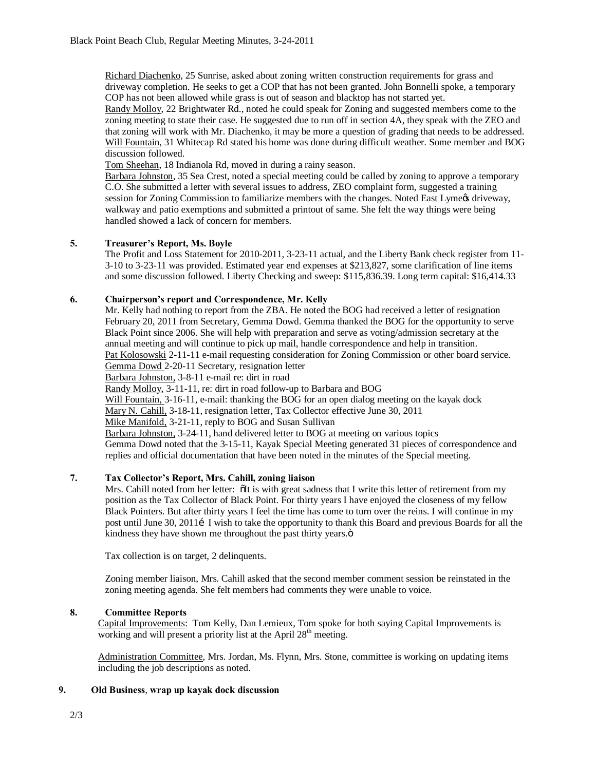Richard Diachenko, 25 Sunrise, asked about zoning written construction requirements for grass and driveway completion. He seeks to get a COP that has not been granted. John Bonnelli spoke, a temporary COP has not been allowed while grass is out of season and blacktop has not started yet.

Randy Molloy, 22 Brightwater Rd., noted he could speak for Zoning and suggested members come to the zoning meeting to state their case. He suggested due to run off in section 4A, they speak with the ZEO and that zoning will work with Mr. Diachenko, it may be more a question of grading that needs to be addressed. Will Fountain, 31 Whitecap Rd stated his home was done during difficult weather. Some member and BOG discussion followed.

Tom Sheehan, 18 Indianola Rd, moved in during a rainy season.

Barbara Johnston, 35 Sea Crest, noted a special meeting could be called by zoning to approve a temporary C.O. She submitted a letter with several issues to address, ZEO complaint form, suggested a training session for Zoning Commission to familiarize members with the changes. Noted East Lymegs driveway, walkway and patio exemptions and submitted a printout of same. She felt the way things were being handled showed a lack of concern for members.

# **5. Treasurer's Report, Ms. Boyle**

The Profit and Loss Statement for 2010-2011, 3-23-11 actual, and the Liberty Bank check register from 11- 3-10 to 3-23-11 was provided. Estimated year end expenses at \$213,827, some clarification of line items and some discussion followed. Liberty Checking and sweep: \$115,836.39. Long term capital: \$16,414.33

# **6. Chairperson's report and Correspondence, Mr. Kelly**

Mr. Kelly had nothing to report from the ZBA. He noted the BOG had received a letter of resignation February 20, 2011 from Secretary, Gemma Dowd. Gemma thanked the BOG for the opportunity to serve Black Point since 2006. She will help with preparation and serve as voting/admission secretary at the annual meeting and will continue to pick up mail, handle correspondence and help in transition. Pat Kolosowski 2-11-11 e-mail requesting consideration for Zoning Commission or other board service. Gemma Dowd 2-20-11 Secretary, resignation letter

Barbara Johnston, 3-8-11 e-mail re: dirt in road

Randy Molloy, 3-11-11, re: dirt in road follow-up to Barbara and BOG

Will Fountain, 3-16-11, e-mail: thanking the BOG for an open dialog meeting on the kayak dock

Mary N. Cahill, 3-18-11, resignation letter, Tax Collector effective June 30, 2011

Mike Manifold, 3-21-11, reply to BOG and Susan Sullivan

Barbara Johnston, 3-24-11, hand delivered letter to BOG at meeting on various topics Gemma Dowd noted that the 3-15-11, Kayak Special Meeting generated 31 pieces of correspondence and replies and official documentation that have been noted in the minutes of the Special meeting.

# **7. Tax Collector's Report, Mrs. Cahill, zoning liaison**

Mrs. Cahill noted from her letter:  $\delta$ It is with great sadness that I write this letter of retirement from my position as the Tax Collector of Black Point. For thirty years I have enjoyed the closeness of my fellow Black Pointers. But after thirty years I feel the time has come to turn over the reins. I will continue in my post until June 30, 2011 I wish to take the opportunity to thank this Board and previous Boards for all the kindness they have shown me throughout the past thirty years. $\ddot{o}$ 

Tax collection is on target, 2 delinquents.

Zoning member liaison, Mrs. Cahill asked that the second member comment session be reinstated in the zoning meeting agenda. She felt members had comments they were unable to voice.

# **8. Committee Reports**

Capital Improvements: Tom Kelly, Dan Lemieux, Tom spoke for both saying Capital Improvements is working and will present a priority list at the April 28<sup>th</sup> meeting.

Administration Committee, Mrs. Jordan, Ms. Flynn, Mrs. Stone, committee is working on updating items including the job descriptions as noted.

# **9. Old Business**, **wrap up kayak dock discussion**